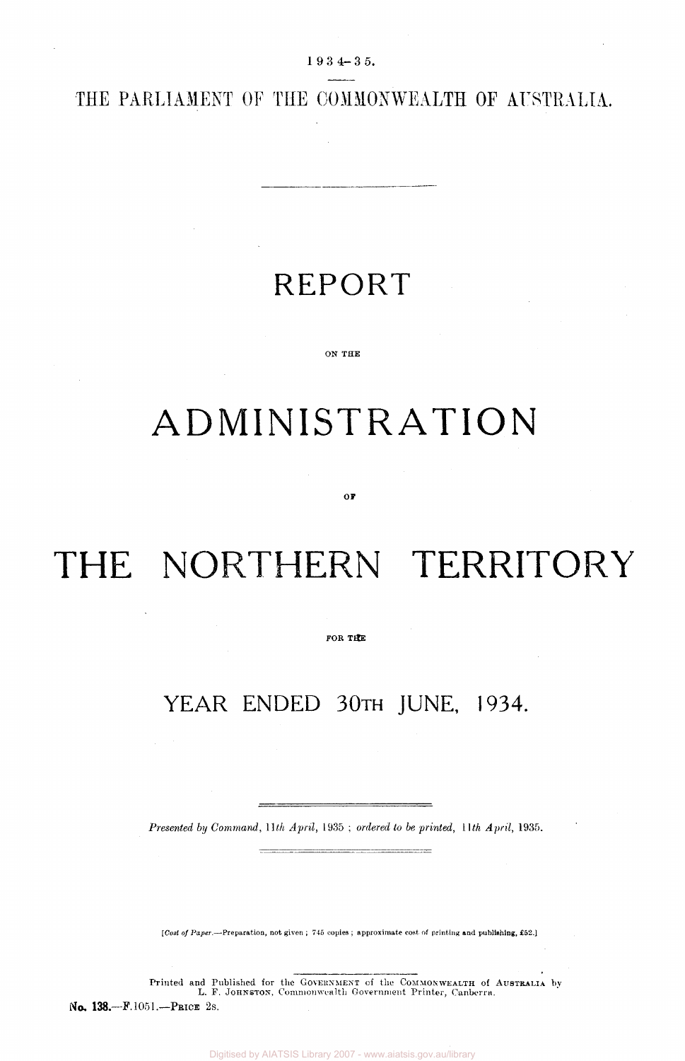19 3 4-35 .

THE PARLIAMENT OF THE COMMONWEALTH OF AUSTRALIA.

## REPORT

#### ON THE

## ADMINISTRATION

#### **or**

# THE NORTHERN TERRITORY

FOR THE

### YEAR ENDED 30TH JUNE, 1934.

*Presented by Command, 11th April,* 1935 ; *ordered to be printed, 11th April,* 1935.

*[Cost of Paper.*—-Preparation, not given ; 745 copies ; approximate coat of printing and publishing, £52.]

Printed and Published for the GOVERNMENT of the COMMONWEALTH of AUSTRALIA by L. F. JOHNSTON. Commonwealth Government Printer, Canberra. No. 138.—F. 1051.—PRICE 2S.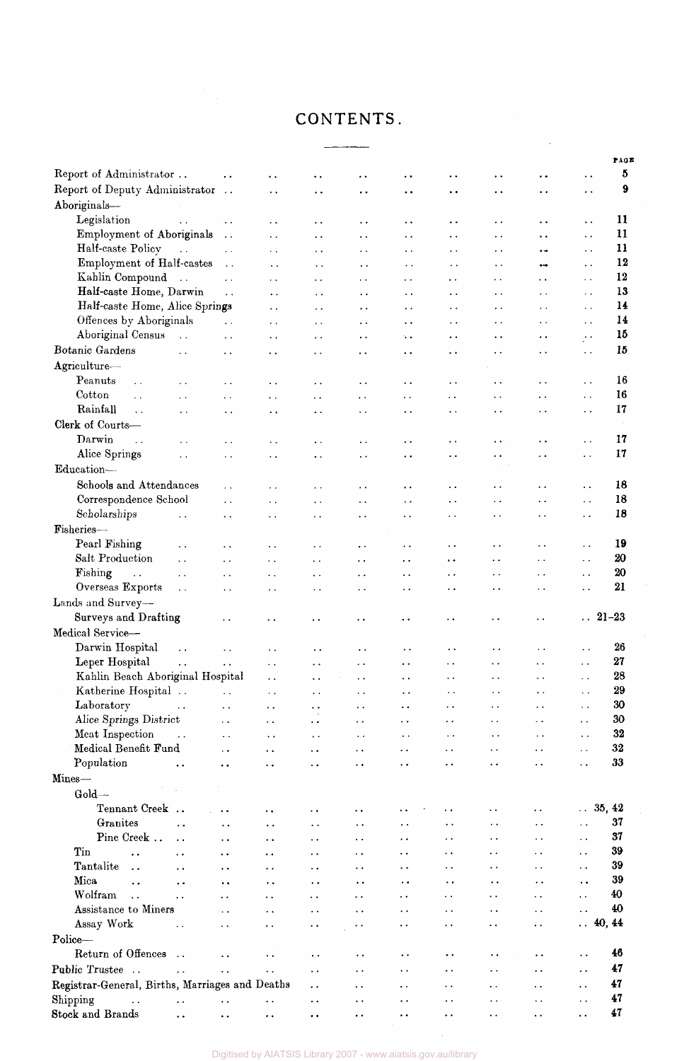### CONTENTS.

|                                                           |                        |                        |                        |                      |                        |                      |                        |                        |                        | PAGE               |
|-----------------------------------------------------------|------------------------|------------------------|------------------------|----------------------|------------------------|----------------------|------------------------|------------------------|------------------------|--------------------|
| Report of Administrator                                   | $\ddot{\phantom{0}}$   | $\ddot{\phantom{0}}$   | ٠.                     | $\ddot{\phantom{0}}$ | $\bullet$ $\bullet$    | $\ddot{\phantom{1}}$ | $\ddot{\phantom{1}}$   | $\ddot{\phantom{0}}$   | $\ddot{\phantom{0}}$   | 5                  |
| Report of Deputy Administrator                            | $\sim$ $\sim$          | $\ddotsc$              | $\ddot{\phantom{0}}$   | $\ddot{\phantom{0}}$ | $\bullet$ $\bullet$    | $\ddot{\phantom{0}}$ | $\ddot{\phantom{0}}$   | $\ddot{\phantom{0}}$   | $\ddot{\phantom{0}}$   | 9                  |
| Aboriginals-                                              |                        |                        |                        |                      |                        |                      |                        |                        |                        |                    |
| Legislation<br>$\ddot{\phantom{a}}$                       | $\sim$ $\sim$          | $\ddot{\phantom{1}}$ . | $\ddot{\phantom{1}}$ . | $\ddot{\phantom{1}}$ | $\ddot{\phantom{1}}$   | $\ddot{\phantom{1}}$ | $\ddot{\phantom{0}}$   | . .                    | $\ddot{\phantom{0}}$   | 11                 |
| Employment of Aboriginals                                 | $\ddot{\phantom{a}}$   | $\ddot{\phantom{0}}$   | $\ddot{\phantom{1}}$ . | $\ddot{\phantom{0}}$ | $\ddot{\phantom{1}}$ . | . .                  | $\ddotsc$              | $\ddot{\phantom{0}}$   | $\ddotsc$              | 11                 |
| Half-caste Policy<br>$\sim$ $\sim$                        | $\sim$ $\sim$          | $\sim$ $\sim$          | $\ddot{\phantom{1}}$ . | $\ddot{\phantom{1}}$ | $\bullet$ $\bullet$    | $\ddot{\phantom{0}}$ | $\ddot{\phantom{1}}$ . | $\bullet$              | $\ddot{\phantom{1}}$   | 11                 |
| Employment of Half-castes                                 | $\sim$ $\sim$          | $\ddot{\phantom{0}}$   | $\ddotsc$              | $\ddot{\phantom{0}}$ | $\ddot{\phantom{1}}$ . | $\ddot{\phantom{0}}$ | $\ddot{\phantom{1}}$   | $\bullet$              | $\ddot{\phantom{1}}$   | 12                 |
| Kahlin Compound<br>$\ddotsc$                              | $\ddot{\phantom{a}}$ . | $\sim$ $\sim$          | $\ddotsc$              | $\bullet$ .          | $\cdot$ .              | $\ddot{\phantom{0}}$ | . .                    | $\ddot{\phantom{0}}$   | $\ddotsc$              | 12                 |
| Half-caste Home, Darwin                                   | $\ddot{\phantom{a}}$   | $\ddot{\phantom{0}}$   | $\sim$ $\alpha$        | $\ddot{\phantom{0}}$ | $\ddot{\phantom{1}}$   | . .                  | $\ddot{\phantom{1}}$   | $\ddot{\phantom{0}}$   | $\ddot{\phantom{0}}$   | 13                 |
| Half-caste Home, Alice Springs                            |                        | . .                    | $\ddot{\phantom{0}}$   | $\cdot$ .            | . .                    | $\ddot{\phantom{0}}$ | $\ddot{\phantom{0}}$   | $\cdot$ .              | . .                    | 14                 |
| Offences by Aboriginals                                   | $\ddotsc$              | $\sim$ $\sim$          | $\sim$                 | $\bullet$ $\bullet$  | $\ddot{\phantom{0}}$   | . .                  | $\ddot{\phantom{1}}$   | $\ddot{\phantom{0}}$   | $\sim$                 | 14                 |
| Aboriginal Census<br>$\ddot{\phantom{a}}$ .               | $\ddot{\phantom{1}}$ . | $\ddot{\phantom{0}}$ . | $\ddot{\phantom{1}}$ . | $\ddot{\phantom{0}}$ | $\ddotsc$              | $\ddot{\phantom{0}}$ | $\ddot{\phantom{0}}$   | . .                    | $\cdot$ .              | 15                 |
| Botanic Gardens<br>$\ddot{\phantom{a}}$                   | $\ddot{\phantom{0}}$   | $\ddot{\phantom{1}}$   | $\ddot{\phantom{1}}$   | $\ddot{\phantom{0}}$ | $\ddot{\phantom{0}}$   | $\ddot{\phantom{1}}$ | . .                    | . .                    | $\sim$ $\sim$          | 15                 |
| Agriculture-                                              |                        |                        |                        |                      |                        |                      |                        |                        |                        |                    |
| Peanuts<br>$\ddot{\phantom{a}}$<br>$\ddot{\phantom{a}}$   | $\ddotsc$              | $\ddot{\phantom{0}}$   | $\ddot{\phantom{0}}$   | $\ddot{\phantom{0}}$ | $\ddot{\phantom{0}}$   | $\ddot{\phantom{0}}$ | . .                    | $\ddot{\phantom{0}}$   | $\ddot{\phantom{0}}$   | 16                 |
| Cotton<br>$\ddotsc$<br>$\ddot{\phantom{1}}$               | $\ddotsc$              | $\ddot{\phantom{0}}$   | $\ddot{\phantom{1}}$   | $\ddot{\phantom{0}}$ | $\ddot{\phantom{1}}$   | $\ddot{\phantom{0}}$ | $\ddot{\phantom{a}}$ . | $\ddot{\phantom{0}}$   | $\ddot{\phantom{a}}$ . | 16                 |
| Rainfall<br>$\ddot{\phantom{a}}$<br>$\ddot{\phantom{1}}$  | $\ddot{\phantom{1}}$   | $\ddot{\phantom{0}}$   | $\ddot{\phantom{0}}$   | $\ddotsc$            | . .                    | $\ddot{\phantom{0}}$ | . .                    | $\ddot{\phantom{1}}$   | $\ddot{\phantom{0}}$   | 17                 |
| Clerk of Courts-                                          |                        |                        |                        |                      |                        |                      |                        |                        |                        |                    |
| Darwin<br>$\ddotsc$<br>$\ddot{\phantom{1}}$               | $\ddot{\phantom{0}}$   | $\sim$ $\sim$          | $\ddot{\phantom{0}}$   | $\ddot{\phantom{0}}$ | $\ddot{\phantom{0}}$   | $\ddot{\phantom{0}}$ | $\ddot{\phantom{1}}$   | $\ddot{\phantom{0}}$   | $\ddot{\phantom{0}}$   | 17                 |
| Alice Springs<br>$\ddot{\phantom{0}}$                     | $\ddot{\phantom{1}}$   | $\ddot{\phantom{1}}$   | $\ddot{\phantom{a}}$   | $\ddot{\phantom{0}}$ | $\ddot{\phantom{0}}$   | $\ddot{\phantom{0}}$ | $\ddot{\phantom{0}}$   | $\ddot{\phantom{0}}$   | $\ddot{\phantom{a}}$   | 17                 |
| Education-                                                |                        |                        |                        |                      |                        |                      |                        |                        |                        |                    |
| Schools and Attendances                                   |                        |                        |                        |                      |                        |                      |                        |                        |                        | 18                 |
| Correspondence School                                     | $\ddot{\phantom{1}}$   | $\ddot{\phantom{0}}$   | $\ddot{\phantom{0}}$   | $\ddot{\phantom{0}}$ | $\ddot{\phantom{0}}$   | . .                  | $\ddot{\phantom{0}}$   | $\ddot{\phantom{1}}$ . | $\ddot{\phantom{0}}$   | 18                 |
| Scholarships                                              | $\ddot{\phantom{0}}$   | $\ddot{\phantom{0}}$   | $\sim$                 | $\ddot{\phantom{0}}$ | $\ddot{\phantom{0}}$   | $\cdot$ $\cdot$      | $\ddot{\phantom{0}}$   | $\ddot{\phantom{0}}$   | $\ddot{\phantom{0}}$   | 18                 |
| $\ddot{\phantom{0}}$<br>Fisheries-                        | $\ddot{\phantom{0}}$   | $\ddot{\phantom{0}}$   | Ω.                     | $\ddot{\phantom{1}}$ | $\ddot{\phantom{1}}$   | $\ddot{\phantom{0}}$ | $\ddot{\phantom{0}}$   | $\ddot{\phantom{0}}$ . | $\ddot{\phantom{0}}$   |                    |
|                                                           |                        |                        |                        |                      |                        |                      |                        |                        |                        |                    |
| Pearl Fishing<br>$\ddot{\phantom{0}}$                     | . .                    | . .                    | $\ddot{\phantom{0}}$   | $\ddot{\phantom{0}}$ | $\ddot{\phantom{0}}$   | $\ddot{\phantom{0}}$ | $\ddot{\phantom{0}}$   | $\ddot{\phantom{0}}$   | $\ddotsc$              | 19                 |
| Salt Production<br>$\ddot{\phantom{0}}$                   | $\ddot{\phantom{0}}$   | $\sim$ $\sim$          | $\bullet$ $\bullet$    | $\ddot{\phantom{1}}$ | $\ddot{\phantom{0}}$   | $\bullet$ $\bullet$  | . .                    | $\ddot{\phantom{1}}$   | $\ddot{\phantom{0}}$   | 20                 |
| Fishing<br>$\ddot{\phantom{a}}$ .<br>$\ddot{\phantom{0}}$ | $\ddot{\phantom{0}}$   | $\ddot{\phantom{1}}$ . | $\sim$ $\sim$          | $\ddot{\phantom{1}}$ | $\ddotsc$              | $\ddot{\phantom{0}}$ | $\ddot{\phantom{0}}$   | $\ddot{\phantom{1}}$   | $\ddot{\phantom{0}}$   | 20                 |
| Overseas Exports<br>$\ddot{\phantom{0}}$                  | $\ddot{\phantom{0}}$   | $\ddot{\phantom{0}}$   | $\ddot{\phantom{0}}$   | $\ddot{\phantom{0}}$ | $\ddot{\phantom{0}}$   | $\ddot{\phantom{0}}$ | $\ddot{\phantom{1}}$   | $\ddot{\phantom{0}}$   | $\ddot{\phantom{0}}$   | 21                 |
| Lands and Survey-                                         |                        |                        |                        |                      |                        |                      |                        |                        |                        |                    |
| Surveys and Drafting                                      | $\bullet$ $\bullet$    | $\ddotsc$              | . .                    | . .                  | . .                    | $\ddot{\phantom{0}}$ | . .                    | $\ddotsc$              |                        | $\therefore$ 21-23 |
| Medical Service-                                          |                        |                        |                        |                      |                        |                      |                        |                        |                        |                    |
| Darwin Hospital<br>$\ddot{\phantom{a}}$                   | $\ddot{\phantom{1}}$   | . .                    | $\ddot{\phantom{0}}$   | $\ddot{\phantom{1}}$ | $\ddot{\phantom{1}}$ . | $\ddot{\phantom{0}}$ | $\ddot{\phantom{1}}$   | $\ddot{\phantom{1}}$ . | $\ddotsc$              | 26                 |
| Leper Hospital<br>$\ddot{\phantom{a}}$                    | $\ddot{\phantom{0}}$   | $\ddot{\phantom{0}}$ . | $\ddot{\phantom{a}}$ . | $\ddot{\phantom{1}}$ | $\ddot{\phantom{0}}$   | $\sim$ $\sim$        | $\ddot{\phantom{a}}$ . | $\epsilon$ .           | $\epsilon$ .           | 27                 |
| Kahlin Beach Aboriginal Hospital                          |                        | $\ddot{\phantom{a}}$   | $\ddot{\phantom{0}}$   | $\ddot{\phantom{0}}$ | $\ddot{\phantom{0}}$   | $\ddot{\phantom{0}}$ | $\ddot{\phantom{0}}$   | $\ddot{\phantom{a}}$ . | $\sim$ $\sim$          | 28                 |
| Katherine Hospital                                        | $\ddot{\phantom{0}}$   | $\sim$                 | $\ddot{\phantom{0}}$   | $\ddotsc$            | $\ddot{\phantom{1}}$   | $\ddot{\phantom{0}}$ |                        | $\ddot{\phantom{1}}$   | $\sim$ $\sim$          | 29                 |
| Laboratory<br>$\ddot{\phantom{a}}$                        | $\ddot{\phantom{0}}$   | $\ddot{\phantom{a}}$   | $\ddot{\phantom{1}}$   | $\ddot{\phantom{0}}$ | $\ddot{\phantom{0}}$   | $\ddot{\phantom{0}}$ | $\ddot{\phantom{0}}$   | $\ddot{\phantom{0}}$   | $\sim$ .               | 30                 |
| Alice Springs District                                    | $\ddot{\phantom{0}}$   | $\ddot{\phantom{0}}$   | $\epsilon$ .           | $\epsilon$ .         | $\ddot{\phantom{0}}$   | $\ddot{\phantom{0}}$ | $\epsilon$ .           | $\ddot{\phantom{0}}$   | $\sim$                 | 30                 |
| Meat Inspection<br>$\ddot{\phantom{a}}$ .                 | $\ddot{\phantom{1}}$   | $\ddot{\phantom{0}}$   | $\ddot{\phantom{0}}$   | $\ddotsc$            | $\ddotsc$              | $\ddotsc$            | $\ddotsc$              | $\ddot{\phantom{0}}$   | $\sim$ $\sim$          | 32                 |
| Medical Benefit Fund                                      | $\ddot{\phantom{0}}$   | $\ddot{\phantom{0}}$   | $\ddot{\phantom{0}}$   | $\ddot{\phantom{0}}$ | . .                    | $\ddot{\phantom{0}}$ | $\ddotsc$              | $\ddot{\phantom{0}}$   | $\sim$ $\sim$          | 32                 |
| Population<br>$\ddot{\phantom{0}}$                        |                        | ٠.                     | $\ddot{\phantom{0}}$   | . .                  | . .                    | $\cdot$ .            | . .                    | . .                    | $\ddot{\phantom{a}}$ . | 33                 |
| Mines-                                                    |                        |                        |                        |                      |                        |                      |                        |                        |                        |                    |
| Gold-                                                     |                        |                        |                        |                      |                        |                      |                        |                        |                        |                    |
| Tennant Creek                                             |                        | $\ddot{\phantom{1}}$   | . .                    | . .                  |                        |                      | . .                    | . .                    | $\therefore$ 35, 42    |                    |
| Granites<br>$\ddot{\phantom{1}}$                          |                        |                        | $\ddot{\phantom{0}}$   | $\ddot{\phantom{0}}$ |                        | $\ddot{\phantom{1}}$ | $\ddot{\phantom{0}}$   | $\ddot{\phantom{0}}$   | $\ddot{\phantom{a}}$   | 37                 |
| Pine Creek<br>$\ddot{\phantom{0}}$                        | . .                    | . .                    | $\ddot{\phantom{0}}$   | $\ddot{\phantom{0}}$ | . .                    | $\ddot{\phantom{0}}$ | . .                    | $\ddot{\phantom{a}}$   | $\ddot{\phantom{a}}$   | 37                 |
| Tin<br>$\ddot{\phantom{0}}$<br>. .                        | . .                    |                        | $\ddot{\phantom{0}}$   | $\ddot{\phantom{0}}$ | . .                    | . .                  | . .                    | . .                    | $\ddot{\phantom{0}}$   | 39                 |
| Tantalite<br>$\ddot{\phantom{a}}$<br>. .                  | . .                    | . .                    | $\ddot{\phantom{0}}$   | $\ddot{\phantom{0}}$ | . .                    | . .                  | . .                    | $\ddot{\phantom{0}}$   | $\ddot{\phantom{0}}$   | 39                 |
| Mica<br>. .<br>. .                                        | . .                    |                        | . .                    | $\ddot{\phantom{0}}$ | ٠.                     | $\ddot{\phantom{0}}$ | . .                    | $\ddot{\phantom{a}}$   | $\ddot{\phantom{0}}$   | 39                 |
| Wolfram<br>$\ddot{\phantom{a}}$<br>. .                    | . .                    | $\ddot{\phantom{a}}$   | $\ddot{\phantom{0}}$   | . .                  | . .                    | . .                  | . .                    | $\ddot{\phantom{0}}$   | $\ddot{\phantom{0}}$   | 40                 |
| Assistance to Miners                                      | $\ddot{\phantom{a}}$   | . .                    | $\ddot{\phantom{0}}$   | . .                  | $\ddot{\phantom{0}}$   | . .                  | . .                    | $\ddot{\phantom{0}}$   | $\ddot{\phantom{a}}$   | 40                 |
| Assay Work<br>$\ddot{\phantom{0}}$                        | . .                    | . .                    | $\ddot{\phantom{0}}$   |                      | . .                    | $\ddot{\phantom{0}}$ | . .                    | . .                    | $\ldots$ 40, 44        |                    |
| Police-                                                   |                        |                        |                        |                      |                        |                      |                        |                        |                        |                    |
| Return of Offences<br>$\ddotsc$                           | $\ddot{\phantom{0}}$   | ٠.                     | $\ddot{\phantom{0}}$   | $\ddot{\phantom{1}}$ | $\ddot{\phantom{0}}$   | $\ddot{\phantom{0}}$ |                        |                        | $\ddot{\phantom{0}}$   | 46                 |
| Public Trustee<br>$\ddot{\phantom{1}}$                    | $\ddot{\phantom{0}}$   | . .                    | $\ddot{\phantom{0}}$   | $\ddot{\phantom{1}}$ | . .                    | ٠.                   |                        | . .                    | $\ddot{\phantom{1}}$   | 47                 |
| Registrar-General, Births, Marriages and Deaths           |                        |                        | $\ddot{\phantom{0}}$   | $\ddot{\phantom{0}}$ | $\ddot{\phantom{0}}$   | . .                  | . .                    | . .                    | $\ddot{\phantom{0}}$   | 47                 |
| Shipping<br>$\ddot{\phantom{0}}$<br>$\ddot{\phantom{0}}$  | . .                    | $\ddot{\phantom{1}}$   | $\ddot{\phantom{1}}$   | . .                  | $\ddot{\phantom{0}}$   | . .                  | . .                    | . .                    | $\ddot{\phantom{0}}$   | 47                 |
| <b>Stock and Brands</b><br>$\ddot{\phantom{a}}$ .         | $\ddot{\phantom{a}}$   | $\bullet$ $\bullet$    | $\bullet$ $\bullet$    | $\ddot{\phantom{0}}$ | ۰.                     | $\ddot{\phantom{0}}$ | $\ddot{\phantom{0}}$   | $\ddot{\phantom{1}}$   | $\ddot{\phantom{0}}$   | $\pmb{47}$         |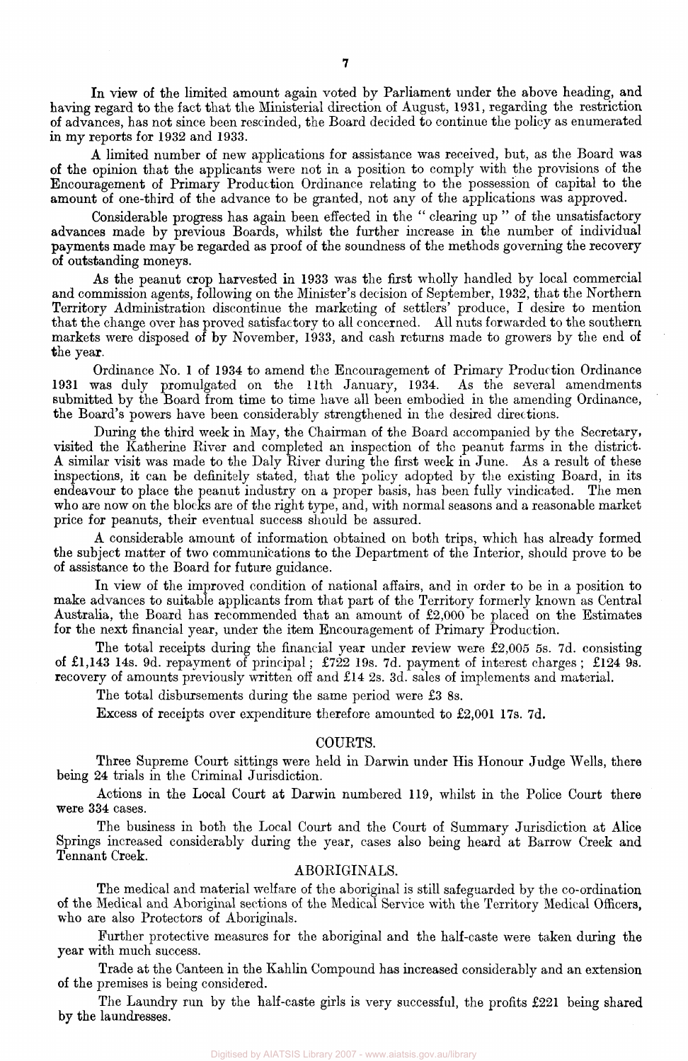In view of the limited amount again voted by Parliament under the above heading, and having regard to the fact that the Ministerial direction of August, 1931, regarding the restriction of advances, has not since been rescinded, the Board decided to continue the policy as enumerated in my reports for 1932 and 1933.

A limited number of new applications for assistance was received, but, as the Board was of the opinion that the applicants were not in a position to comply with the provisions of the Encouragement of Primary Production Ordinance relating to the possession of capital to the amount of one-third of the advance to be granted, not any of the applications was approved.

Considerable progress has again been effected in the " clearing up " of the unsatisfactory advances made by previous Boards, whilst the further increase in the number of individual payments made may be regarded as proof of the soundness of the methods governing the recovery of outstanding moneys.

As the peanut crop harvested in 1933 was the first wholly handled by local commercial and commission agents, following on the Minister's decision of September, 1932, that the Northern Territory Administration discontinue the marketing of settlers' produce, I desire to mention that the change over has proved satisfactory to all concerned. All nuts forwarded to the southern markets were disposed of by November, 1933, and cash returns made to growers by the end of the year.

Ordinance No. 1 of 1934 to amend the Encouragement of Primary Production Ordinance 1931 was duly promulgated on the 11th January, 1934. As the several amendments submitted by the Board from time to time have all been embodied in the amending Ordinance, the Board's powers have been considerably strengthened in the desired directions.

During the third week in May, the Chairman of the Board accompanied by the Secretary, visited the Katherine River and completed an inspection of the peanut farms in the district. A similar visit was made to the Daly River during the first week in June. As a result of these inspections, it can be definitely stated, that the policy adopted by the existing Board, in its endeavour to place the peanut industry on a proper basis, has been fully vindicated. The men who are now on the blocks are of the right type, and, with normal seasons and a reasonable market price for peanuts, their eventual success should be assured.

A considerable amount of information obtained on both trips, which has already formed the subject matter of two communications to the Department of the Interior, should prove to be of assistance to the Board for future guidance.

In view of the improved condition of national affairs, and in order to be in a position to make advances to suitable applicants from that part of the Territory formerly known as Central Australia, the Board has recommended that an amount of £2,000 be placed on the Estimates for the next financial year, under the item Encouragement of Primary Production.

The total receipts during the financial year under review were £2,005 5s. 7d. consisting of £l,143 14s. 9d. repayment of principal; £722 19s. 7d. payment of interest charges ; £124 9s. recovery of amounts previously written off and £14 2s. 3d. sales of implements and material.

The total disbursements during the same period were £3 8s.

Excess of receipts over expenditure therefore amounted to £2,001 17s. 7d.

#### COURTS.

Three Supreme Court sittings were held in Darwin under His Honour Judge Wells, there being 24 trials in the Criminal Jurisdiction.

Actions in the Local Court at Darwin numbered 119, whilst in the Police Court there were 334 cases.

The business in both the Local Court and the Court of Summary Jurisdiction at Alice Springs increased considerably during the year, cases also being heard at Barrow Creek and Tennant Creek.

#### ABORIGINALS.

The medical and material welfare of the aboriginal is still safeguarded by the co-ordination of the Medical and Aboriginal sections of the Medical Service with the Territory Medical Officers, who are also Protectors of Aboriginals.

Further protective measures for the aboriginal and the half-caste were taken during the year with much success.

Trade at the Canteen in the Kahlin Compound has increased considerably and an extension of the premises is being considered.

The Laundry run by the half-caste girls is very successful, the profits £221 being shared by the laundresses.

Digitised by AIATSIS Library 2007 - www.aiatsis.gov.au/library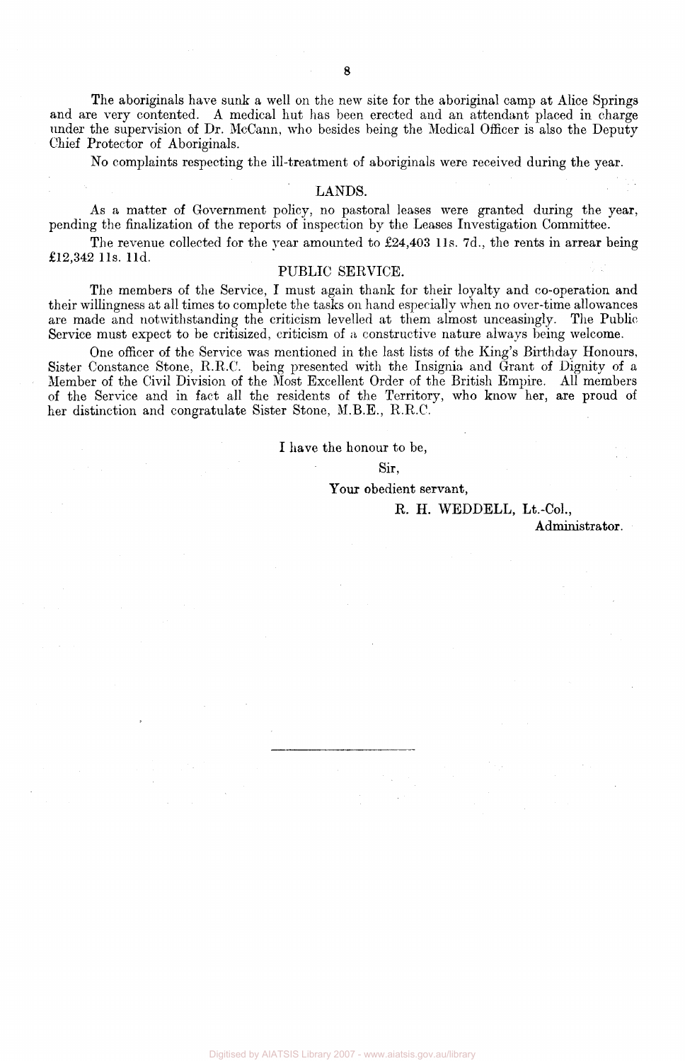The aboriginals have sunk a well on the new site for the aboriginal camp at Alice Springs and are very contented. A medical hut has been erected and an attendant placed in charge under the supervision of Dr. McCann, who besides being the Medical Officer is also the Deputy Chief Protector of Aboriginals.

No complaints respecting the ill-treatment of aboriginals were received during the year.

#### LANDS.

As a matter of Government policy, no pastoral leases were granted during the year, pending the finalization of the reports of inspection by the Leases Investigation Committee.

The revenue collected for the year amounted to £24,403 lls. 7d., the rents in arrear being £12,342 l1s. l1d.

#### PUBLIC SERVICE.

The members of the Service, I must again thank for their loyalty and co-operation and their willingness at all times to complete the tasks on hand especially when no over-time allowances are made and notwithstanding the criticism levelled at them almost unceasingly. The Public Service must expect to be critisized, criticism of a constructive nature always being welcome.

One officer of the Service was mentioned in the last lists of the King's Birthday Honours, Sister Constance Stone, R.R.C. being presented with the Insignia and Grant of Dignity of a Member of the Civil Division of the Most Excellent Order of the British Empire. All members of the Service and in fact all the residents of the Territory, who know her, are proud of her distinction and congratulate Sister Stone, M.B.E., R.R.C.

#### I have the honour to be,

#### Sir,

Your obedient servant,

R. H. WEDDELL, Lt.-Col.,

Administrator.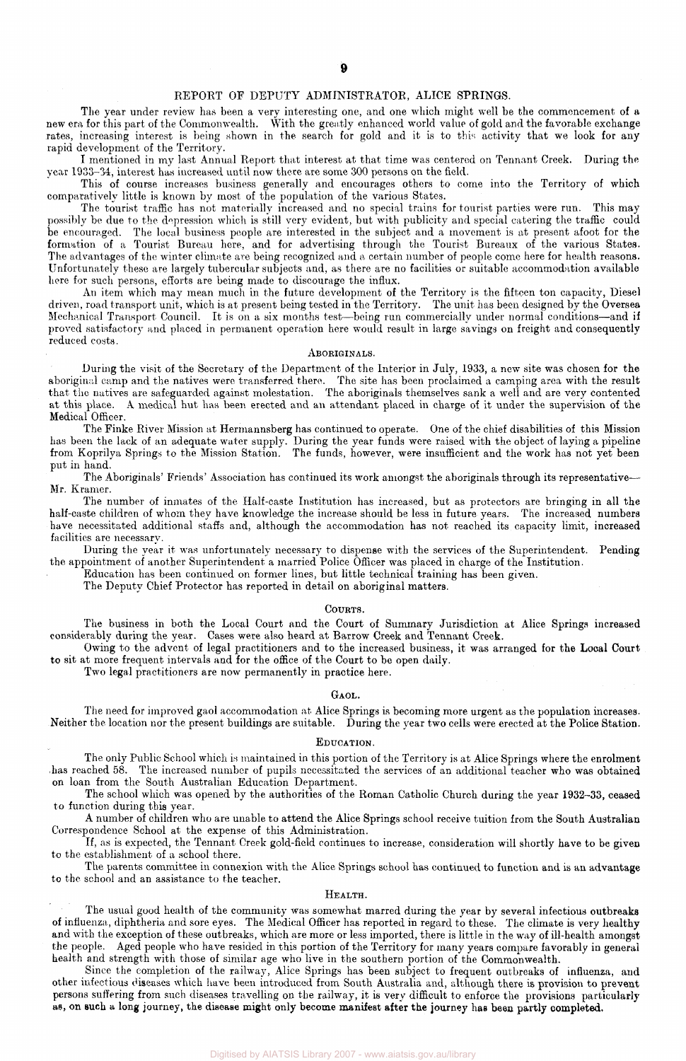#### REPORT OF DEPUTY ADMINISTRATOR, ALICE SPRINGS.

The year under review has been a very interesting one, and one which might well be the commencement of a new era for this part of the Commonwealth. With the greatly enhanced world value of gold and the favorable exchange rates, increasing interest is being shown in the search for gold and it is to this activity that we look for any rapid development of the Territory.

I mentioned in my last Annual Report that interest at that time was centered on Tennant Creek. During the year 1933-34, interest has increased until now there are some 300 persons on the field.

This of course increases business generally and encourages others to come into the Territory of which comparatively little is known by most of the population of the various States.

The tourist traffic has not materially increased and no special trains for tourist parties were run. This may possibly be due to the depression which is still very evident, but with publicity and special catering the traffic could be encouraged. The local business people are interested in the subject and a movement is at present afoot for the formation of a Tourist Bureau here, and for advertising through the Tourist Bureaux of the various States. The advantages of the winter climate are being recognized and a certain number of people come here for health reasons. Unfortunately these are largely tubercular subjects and, as there are no facilities or suitable accommodation available here for such persons, efforts are being made to discourage the influx.

An item which may mean much in the future development of the Territory is the fifteen ton capacity, Diesel driven, road transport unit, which is at present being tested in the Territory. The unit has been designed by the Oversea Mechanical Transport Council. It is on a six months test—being run commercially under normal conditions—and if proved satisfactory and placed in permanent operation here would result in large savings on freight and consequently reduced costs.

#### ABORIGINALS.

During the visit of the Secretary of the Department of the Interior in July, 1933, a new site was chosen for the aboriginal camp and the natives were transferred there. The site has been proclaimed a camping area with the result that the natives are safeguarded against molestation. The aboriginals themselves sank a well and are very contented at this place. A medical hut has been erected and an attendant placed in charge of it under the supervision of the Medical Officer.

The Finke River Mission at Hermannsberg has continued to operate. One of the chief disabilities of this Mission has been the lack of an adequate water supply. During the year funds were raised with the object of laying a pipeline from Koprilya Springs to the Mission Station. The funds, however, were insufficient and the work has not yet been put in hand.

The Aboriginals' Friends' Association has continued its work amongst the aboriginals through its representative— Mr. Kramer.

The number of inmates of the Half-caste Institution has increased, but as protectors are bringing in all the half-caste children of whom they have knowledge the increase should be less in future years. The increased numbers have necessitated additional staffs and, although the accommodation has not reached its capacity limit, increased facilities are necessary.

During the year it was unfortunately necessary to dispense with the services of the Superintendent. Pending the appointment of another Superintendent a married Police Officer was placed in charge of the Institution.

Education has been continued on former lines, but little technical training has been given.

The Deputy Chief Protector has reported in detail on aboriginal matters.

#### COURTS.

The business in both the Local Court and the Court of Summary Jurisdiction at Alice Springs increased considerably during the year. Cases were also heard at Barrow Creek and Tennant Creek.

Owing to the advent of legal practitioners and to the increased business, it was arranged for the Local Court to sit at more frequent intervals and for the office of the Court to be open daily.

Two legal practitioners are now permanently in practice here.

#### GAOL.

The need for improved gaol accommodation at Alice Springs is becoming more urgent as the population increases. Neither the location nor the present buildings are suitable. During the year two cells were erected at the Police Station.

#### EDUCATION.

The only Public School which is maintained in this portion of the Territory is at Alice Springs where the enrolment has reached 58. The increased number of pupils necessitated the services of an additional teacher who was obtained on loan from the South Australian Education Department.

The school which was opened by the authorities of the Roman Catholic Church during the year 1932-33, ceased to function during this year.

A number of children who are unable to attend the Alice Springs school receive tuition from the South Australian Correspondence School at the expense of this Administration.

If, as is expected, the Tennant Creek gold-field continues to increase, consideration will shortly have to be given to the establishment of a school there.

The parents committee in connexion with the Alice Springs school has continued to function and is an advantage to the school and an assistance to the teacher.

#### HEALTH.

The usual good health of the community was somewhat marred during the year by several infectious outbreaks of influenza, diphtheria and sore eyes. The Medical Officer has reported in regard to these. The climate is very healthy and with the exception of these outbreaks, which are more or less imported, there is little in the way of ill-health amongst the people. Aged people who have resided in this portion of the Territory for many years compare favorably in general health and strength with those of similar age who live in the southern portion of the Commonwealth.

Since the completion of the railway, Alice Springs has been subject to frequent outbreaks of influenza, and other infectious diseases which have been introduced from South Australia and, although there is provision to prevent persons suffering from such diseases travelling on the railway, it is very difficult to enforce the provisions particularly as, on such a long journey, the disease might only become manifest after the journey has been partly completed.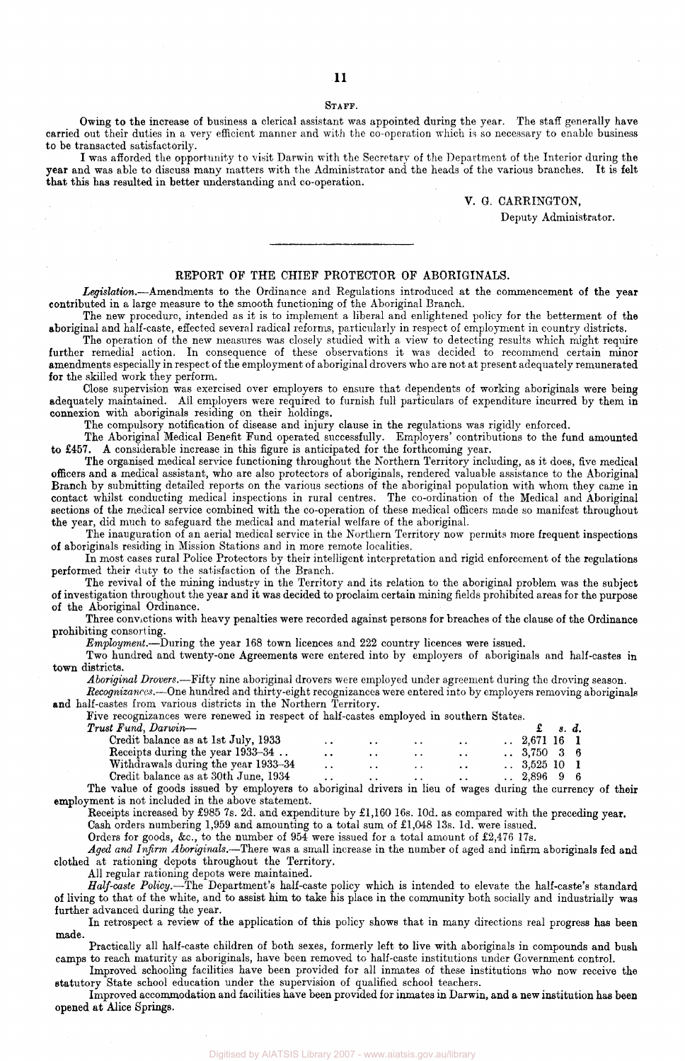#### STAFF.

Owing to the increase of business a clerical assistant was appointed during the year. The staff generally have carried out their duties in a very efficient manner and with the co-operation which is so necessary to enable business to be transacted satisfactorily.

I was afforded the opportunity to visit Darwin with the Secretary of the Department of the Interior during the year and was able to discuss many matters with the Administrator and the heads of the various branches. It is felt that this has resulted in better understanding and co-operation.

#### V. G. CARRINGTON,

Deputy Administrator.

#### REPORT OF THE CHIEF PROTECTOR OF ABORIGINALS.

*Legislation.*—Amendments to the Ordinance and Regulations introduced at the commencement of the year contributed in a large measure to the smooth functioning of the Aboriginal Branch.

The new procedure, intended as it is to implement a liberal and enlightened policy for the betterment of the aboriginal and half-caste, effected several radical reforms, particularly in respect of employment in country districts.

The operation of the new measures was closely studied with a view to detecting results which might require further remedial action. In consequence of these observations it was decided to recommend certain minor amendments especially in respect of the employment of aboriginal drovers who are not at present adequately remunerated for the skilled work they perform.

Close supervision was exercised over employers to ensure that dependents of working aboriginals were being adequately maintained. All employers were required to furnish full particulars of expenditure incurred by them in connexion with aboriginals residing on their holdings.

The compulsory notification of disease and injury clause in the regulations was rigidly enforced.

The Aboriginal Medical Benefit Fund operated successfully. Employers' contributions to the fund amounted to £457. A considerable increase in this figure is anticipated for the forthcoming year.

The organised medical service functioning throughout the Northern Territory including, as it does, five medical officers and a medical assistant, who are also protectors of aboriginals, rendered valuable assistance to the Aboriginal Branch by submitting detailed reports on the various sections of the aboriginal population with whom they came in contact whilst conducting medical inspections in rural centres. The co-ordination of the Medical and Aboriginal sections of the medical service combined with the co-operation of these medical officers made so manifest throughout the year, did much to safeguard the medical and material welfare of the aboriginal.

The inauguration of an aerial medical service in the Northern Territory now permits more frequent inspections of aboriginals residing in Mission Stations and in more remote localities.

In most cases rural Police Protectors by their intelligent interpretation and rigid enforcement of the regulations performed their duty to the satisfaction of the Branch.

The revival of the mining industry in the Territory and its relation to the aboriginal problem was the subject of investigation throughout the year and it was decided to proclaim certain mining fields prohibited areas for the purpose of the Aboriginal Ordinance.

Three convictions with heavy penalties were recorded against persons for breaches of the clause of the Ordinance prohibiting consorting.

*Employment.*—During the year 168 town licences and 222 country licences were issued.

Two hundred and twenty-one Agreements were entered into by employers of aboriginals and half-castes in town districts.

*Aboriginal Drovers.*—Fifty nine aboriginal drovers were employed under agreement during the droving season.

*Recognizances.*—One hundred and thirty-eight recognizances were entered into by employers removing aboriginals and half-castes from various districts in the Northern Territory.

Five recognizances were renewed in respect of half-castes employed in southern States.<br>Trust Fund, Darwin-

| Trust Fund, Darwin-                  |                      |               |                      |                      |                         | $\mathbf{f}$ s.d. |  |
|--------------------------------------|----------------------|---------------|----------------------|----------------------|-------------------------|-------------------|--|
| Credit balance as at 1st July, 1933  | $\ddot{\phantom{0}}$ | $\bullet$     | $\cdots$             | $\cdot$ $\cdot$      | $\therefore$ 2.671 16 1 |                   |  |
| Receipts during the year 1933-34.    | $\sim$               | $\sim$ $\sim$ | $\ddot{\phantom{1}}$ | $\sim$               | $\therefore$ 3.750 3 6  |                   |  |
| Withdrawals during the year 1933–34  | $\ddot{\phantom{0}}$ | $\cdots$      | $\sim$               | $\ddot{\phantom{1}}$ | $\therefore$ 3.525 10 1 |                   |  |
| Credit balance as at 30th June, 1934 | $\ddot{\phantom{0}}$ | $\bullet$     | $\ddot{\phantom{a}}$ | $\cdot$ $\cdot$      | .289696                 |                   |  |
|                                      |                      |               |                      |                      |                         |                   |  |

The value of goods issued by employers to aboriginal drivers in lieu of wages during the currency of their employment is not included in the above statement.

Receipts increased by £985 7s. 2d. and expenditure by £1,160 16s. l0d. as compared with the preceding year.

Cash orders numbering 1,959 and amounting to a total sum of £1,048 13s. Id. were issued.

Orders for goods, &c, to the number of 954 were issued for a total amount of £2,476 17s.

*Aged and Infirm Aboriginals.*—There was a small increase in the number of aged and infirm aboriginals fed and clothed at rationing depots throughout the Territory.

All regular rationing depots were maintained.

*Half-caste Policy.*—The Department's half-caste policy which is intended to elevate the half-caste's standard of living to that of the white, and to assist him to take his place in the community both socially and industrially was further advanced during the year.

In retrospect a review of the application of this policy shows that in many directions real progress has been made.

Practically all half-caste children of both sexes, formerly left to live with aboriginals in compounds and bush camps to reach maturity as aboriginals, have been removed to half-caste institutions under Government control.

Improved schooling facilities have been provided for all inmates of these institutions who now receive the statutory State school education under the supervision of qualified school teachers.

Improved accommodation and facilities have been provided for inmates in Darwin, and a new institution has been opened at Alice Springs.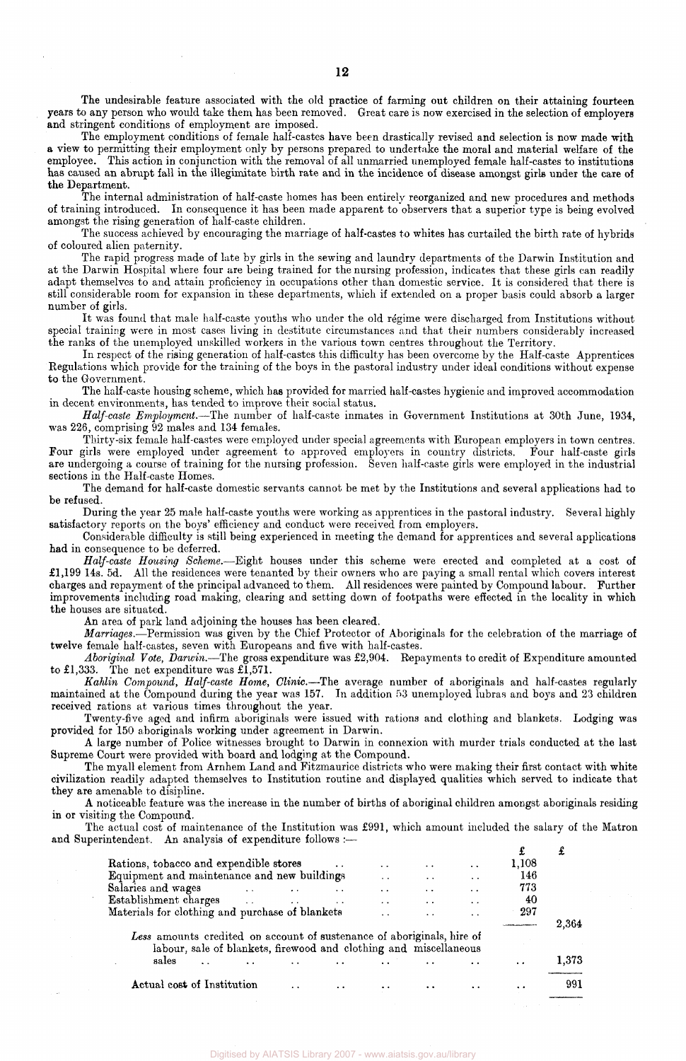The undesirable feature associated with the old practice of farming out children on their attaining fourteen years to any person who would take them has been removed. Great care is now exercised in the selection of employers and stringent conditions of employment are imposed.

The employment conditions of female half-castes have been drastically revised and selection is now made with a view to permitting their employment only by persons prepared to undertake the moral and material welfare of the employee. This action in conjunction with the removal of all unmarried unemployed female half-castes to institutions has caused an abrupt fall in the illegimitate birth rate and in the incidence of disease amongst girls under the care of the Department.

The internal administration of half-caste homes has been entirely reorganized and new procedures and methods of training introduced. In consequence it has been made apparent to observers that a superior type is being evolved amongst the rising generation of half-caste children.

The success achieved by encouraging the marriage of half-castes to whites has curtailed the birth rate of hybrids of coloured alien paternity.

The rapid progress made of late by girls in the sewing and laundry departments of the Darwin Institution and at the Darwin Hospital where four are being trained for the nursing profession, indicates that these girls can readily adapt themselves to and attain proficiency in occupations other than domestic service. It is considered that there is still considerable room for expansion in these departments, which if extended on a proper basis could absorb a larger number of girls.

It was found that male half-caste youths who under the old regime were discharged from Institutions without special training were in most cases living in destitute circumstances and that their numbers considerably increased the ranks of the unemployed unskilled workers in the various town centres throughout the Territory.

In respect of the rising generation of half-castes this difficulty has been overcome by the Half-caste Apprentices Regulations which provide for the training of the boys in the pastoral industry under ideal conditions without expense to the Government.

The half-caste housing scheme, which has provided for married half-castes hygienic and improved accommodation in decent environments, has tended to improve their social status.

*Half-caste Employment.*—The number of half-caste inmates in Government Institutions at 30th June, 1934, was 226, comprising 92 males and 134 females.

Thirty-six female half-castes were employed under special agreements with European employers in town centres. Four girls were employed under agreement to approved employers in country districts. Four half-caste girls are undergoing a course of training for the nursing profession. Seven half-caste girls were employed in the industrial sections in the Half-caste Homes.

The demand for half-caste domestic servants cannot be met by the Institutions and several applications had to be refused.

During the year 25 male half-caste youths were working as apprentices in the pastoral industry. Several highly satisfactory reports on the boys' efficiency and conduct were received from employers.

Considerable difficulty is still being experienced in meeting the demand for apprentices and several applications had in consequence to be deferred.

*Half-caste Housing Scheme.*—Eight houses under this scheme were erected and completed at a cost of £1,199 14s. 5d. All the residences were tenanted by their owners who are paying a small rental which covers interest charges and repayment of the principal advanced to them. All residences were painted by Compound labour. Further improvements including road making, clearing and setting down of footpaths were effected in the locality in which the houses are situated.

An area of park land adjoining the houses has been cleared.

*Marriages.*—Permission was given by the Chief Protector of Aboriginals for the celebration of the marriage of twelve female half-castes, seven with Europeans and five with half-castes.

*Aboriginal Vote, Darwin.*—The gross expenditure was £2,904. Repayments to credit of Expenditure amounted to £1,333. The net expenditure was £1,571.

*Kahlin Compound, Half-caste Home, Clinic.*—The average number of aboriginals and half-castes regularly maintained at the Compound during the year was 157. In addition 53 unemployed lubras and boys and 23 children received rations at various times throughout the year.

Twenty-five aged and infirm aboriginals were issued with rations and clothing and blankets. Lodging was provided for 150 aboriginals working under agreement in Darwin.

A large number of Police witnesses brought to Darwin in connexion with murder trials conducted at the last Supreme Court were provided with board and lodging at the Compound.

The myall element from Arnhem Land and Fitzmaurice districts who were making their first contact with white civilization readily adapted themselves to Institution routine and displayed qualities which served to indicate that they are amenable to disipline.

A noticeable feature was the increase in the number of births of aboriginal children amongst aboriginals residing in or visiting the Compound.

The actual cost of maintenance of the Institution was £991, which amount included the salary of the Matron and Superintendent. An analysis of expenditure follows :-

| Rations, tobacco and expendible stores                                                                                                      |                          |                   |                 | $\sim$               | $\ddot{\phantom{0}}$ | $\ddot{\phantom{a}}$ | 1,108           |       |
|---------------------------------------------------------------------------------------------------------------------------------------------|--------------------------|-------------------|-----------------|----------------------|----------------------|----------------------|-----------------|-------|
| Equipment and maintenance and new buildings                                                                                                 |                          |                   |                 | $\ddot{\phantom{0}}$ | $\ddot{\phantom{0}}$ | $\ddot{\phantom{0}}$ | 146             |       |
| Salaries and wages                                                                                                                          | <b>Contract Contract</b> |                   |                 | $\cdot$              | $\ddot{\phantom{0}}$ | $\ddot{\phantom{0}}$ | 773             |       |
| Establishment charges                                                                                                                       |                          | <b>Contractor</b> | $\cdot$ $\cdot$ | $\cdot$ .            | $\ddot{\phantom{0}}$ | $\ddot{\phantom{0}}$ | 40              |       |
| Materials for clothing and purchase of blankets                                                                                             |                          |                   |                 | $\ddot{\phantom{1}}$ | $\sim$               | $\cdot$ $\cdot$      | 297             |       |
|                                                                                                                                             |                          |                   |                 |                      |                      |                      |                 | 2,364 |
| Less amounts credited on account of sustenance of aboriginals, hire of<br>labour, sale of blankets, firewood and clothing and miscellaneous |                          |                   |                 |                      |                      |                      |                 |       |
| sales                                                                                                                                       |                          |                   |                 |                      |                      |                      | $\cdot$ $\cdot$ | 1,373 |
| Actual cost of Institution                                                                                                                  |                          |                   |                 |                      |                      |                      |                 | 991   |

Digitised by AIATSIS Library 2007 - www.aiatsis.gov.au/library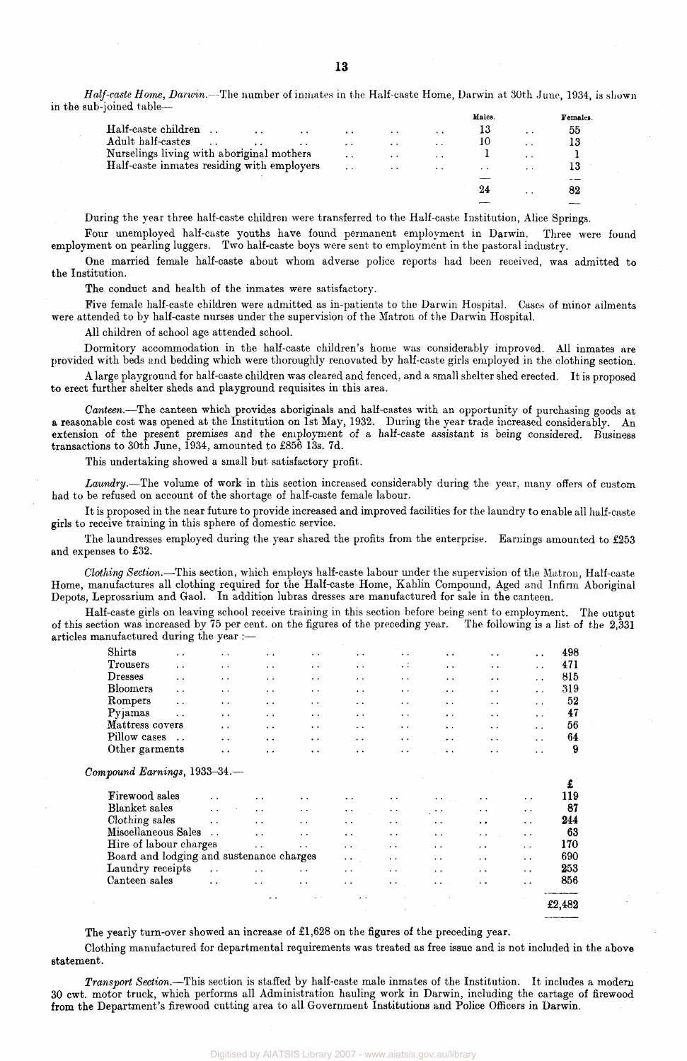*Half-caste Home, Darwin.*—The number of inmates in the Half-caste Home, Darwin at 30th June, 1934, is shown in the sub-joined table—

|                                                                     |                      |                      |                 | Males.    |                      | Females. |
|---------------------------------------------------------------------|----------------------|----------------------|-----------------|-----------|----------------------|----------|
| Half-caste children<br>$\ddot{\phantom{0}}$<br>$\ddot{\phantom{1}}$ | $\cdot$ $\cdot$      | $\ddot{\phantom{0}}$ | $\cdot$ $\cdot$ | 13        | $\cdot$ .            | 55       |
| Adult half-castes<br>$\epsilon$                                     | $\sim$ $\sim$        | $\cdot$ $\cdot$      | $\cdot$ .       | 10        | $\sim$               |          |
| Nurselings living with aboriginal mothers                           | $\ddot{\phantom{1}}$ | $\ddot{\phantom{1}}$ | $\sim$          |           | $\ddot{\phantom{1}}$ |          |
| Half-caste inmates residing with employers                          | $\ddot{\phantom{0}}$ | $\cdot$ $\cdot$      | $\sim$          | $\bullet$ | $\cdot$ $\cdot$      | 13       |
|                                                                     |                      |                      |                 |           |                      |          |
|                                                                     |                      |                      |                 |           | $\ddot{\phantom{1}}$ | 82       |
|                                                                     |                      |                      |                 |           |                      |          |

During the year three half-caste children were transferred to the Half-caste Institution, Alice Springs.

Four unemployed half-caste youths have found permanent employment in Darwin. Three were found employment on pearling luggers. Two half-caste boys were sent to employment in the pastoral industry.

One married female half-caste about whom adverse police reports had been received, was admitted to the Institution.

The conduct and health of the inmates were satisfactory.

Five female half-caste children were admitted as in-patients to the Darwin Hospital. Cases of minor ailments were attended to by half-caste nurses under the supervision of the Matron of the Darwin Hospital.

All children of school age attended school.

Dormitory accommodation in the half-caste children's home was considerably improved. All inmates are provided with beds and bedding which were thoroughly renovated by half-caste girls employed in the clothing section.

A large playground for half-caste children was cleared and fenced, and a small shelter shed erected. It is proposed to erect further shelter sheds and playground requisites in this area.

*Canteen.*—The canteen which provides aboriginals and half-castes with an opportunity of purchasing goods at a reasonable cost was opened at the Institution on 1st May, 1932. During the year trade increased considerably. An extension of the present premises and the employment of a half-caste assistant is being considered. Business transactions to 30th June, 1934, amounted to £856 13s. 7d.

This undertaking showed a small but satisfactory profit.

*Laundry.*—The volume of work in this section increased considerably during the year, many offers of custom had to be refused on account of the shortage of half-caste female labour.

It is proposed in the near future to provide increased and improved facilities for the laundry to enable all half-caste girls to receive training in this sphere of domestic service.

The laundresses employed during the year shared the profits from the enterprise. Earnings amounted to £253 and expenses to £32.

*Clothing Section.*—This section, which employs half-caste labour under the supervision of the Matron, Half-caste Home, manufactures all clothing required for the Half-caste Home, Kahlin Compound, Aged and Infirm Aboriginal Depots, Leprosarium and Gaol. In addition lubras dresses are manufactured for sale in the canteen.

Half-caste girls on leaving school receive training in this section before being sent to employment. The output of this section was increased by 75 per cent, on the figures of the preceding year. The following is a list of the 2,331 articles manufactured during the year :—

| Shirts<br>$\ddot{\phantom{0}}$           | $\ddot{\phantom{1}}$ | $\ddot{\phantom{0}}$ | . .                   | $\ddot{\phantom{0}}$   | $\ddot{\phantom{a}}$   | $\cdot$ $\cdot$                              | $\ddot{\phantom{a}}$   | $\ddot{\phantom{a}}$ | 498 |
|------------------------------------------|----------------------|----------------------|-----------------------|------------------------|------------------------|----------------------------------------------|------------------------|----------------------|-----|
| Trousers<br>$\ddot{\phantom{0}}$         | $\ddot{\phantom{a}}$ | $\sim$ $\sim$        | $\ddot{\phantom{1}}$  | $\ddot{\phantom{a}}$   | $\ddot{\phantom{0}}$   | $\ddot{\phantom{0}}$                         | $\ddot{\phantom{1}}$   | $\ddot{\phantom{0}}$ | 471 |
| Dresses<br>$\ddot{\phantom{0}}$          | $\ddot{\phantom{1}}$ | $\sim$ $\sim$        | $\bullet$ . $\bullet$ | $\sim$                 | $\ddotsc$              | $\sim$ $\sim$                                | $\ddot{\phantom{0}}$   | . .                  | 815 |
| <b>Bloomers</b><br>$\sim$ $\sim$         | $\ddot{\phantom{a}}$ | $\ddot{\phantom{0}}$ | $\ddot{\phantom{a}}$  | $\sim$ $\sim$          | $\ddot{\phantom{1}}$   | $\ddot{\phantom{a}}$                         | $\sim$                 | $\ddot{\phantom{a}}$ | 319 |
| Rompers<br>$\ddot{\phantom{0}}$          | $\ddot{\phantom{0}}$ | $\sim$ $\sim$        | $\ddot{\phantom{1}}$  | $\bullet$ . $\bullet$  | $\ddot{\phantom{1}}$   | $\ddot{\phantom{1}}$                         | $\sim$ $\sim$          | $\ddot{\phantom{a}}$ | 52  |
| Pyjamas<br>$\ddot{\phantom{a}}$          | $\ddot{\phantom{1}}$ | $\sim$               | $\ddot{\phantom{1}}$  | $\ddot{\phantom{1}}$   | $\ddot{\phantom{1}}$   | $\ddot{\phantom{1}}$                         | $\ddot{\phantom{1}}$   | . .                  | 47  |
| Mattress covers                          | $\ddot{\phantom{a}}$ | $\ddot{\phantom{a}}$ | $\ddot{\phantom{a}}$  | $\ddot{\phantom{0}}$   | $\ddot{\phantom{a}}$   | $\ddot{\phantom{1}}$                         | $\ddotsc$              | $\ddot{\phantom{0}}$ | 56  |
| Pillow cases<br>$\ddotsc$                | $\ddot{\phantom{0}}$ | $\ddot{\phantom{0}}$ | $\ddot{\phantom{0}}$  | $\ddot{\phantom{0}}$   | $\ddotsc$              | $\ddot{\phantom{0}}$                         | $\ddot{\phantom{a}}$   | $\ddot{\phantom{0}}$ | 64  |
| Other garments                           | $\ddot{\phantom{1}}$ | $\ddot{\phantom{1}}$ | $\ddot{\phantom{0}}$  | $\ddot{\phantom{0}}$   | $\ddot{\phantom{1}}$   | $\ddot{\phantom{1}}$                         | . .                    | $\ddot{\phantom{a}}$ | 9   |
| Compound Earnings, 1933-34.-             |                      |                      |                       |                        |                        |                                              |                        |                      | £   |
|                                          |                      |                      |                       |                        |                        |                                              |                        |                      |     |
| <b>Firewood sales</b>                    | $\ddot{\phantom{a}}$ | $\cdot$ .            | $\ddot{\phantom{0}}$  | . .                    | $\ddot{\phantom{1}}$   | $\cdot$ .                                    | $\ddot{\phantom{0}}$   | $\ddot{\phantom{1}}$ | 119 |
| Blanket sales                            | $\ddot{\phantom{a}}$ | $\ddot{\phantom{a}}$ | $\ddot{\phantom{0}}$  | $\ddot{\phantom{0}}$   | $\bullet$ . $\bullet$  | $\sim$ $\sim$                                | $\ddot{\phantom{0}}$   | . .                  | 87  |
| Clothing sales                           | $\ddot{\phantom{a}}$ | $\ddot{\phantom{0}}$ | $\ddot{\phantom{0}}$  | $\ddot{\phantom{1}}$   | $\sim$ $\sim$          | $\ddot{\phantom{0}}$                         | $\ddot{\phantom{0}}$   | $\ddot{\phantom{1}}$ | 244 |
| Miscellaneous Sales                      | $\ddot{\phantom{a}}$ | $\ddotsc$            | $\ddot{\phantom{0}}$  | $\sim$ $\sim$          | $\sim$ $\sim$          | $\ddot{\phantom{a}}$                         | $\ddot{\phantom{a}}$ . | $\ddot{\phantom{0}}$ | 63  |
| Hire of labour charges                   |                      | $\ddot{\phantom{0}}$ | $\ddotsc$             | $\ddot{\phantom{a}}$   | $\ddot{\phantom{1}}$ . | $\cdot$ .                                    | $\ddot{\phantom{0}}$   | $\ddot{\phantom{1}}$ | 170 |
| Board and lodging and sustenance charges |                      |                      |                       | $\ddot{\phantom{0}}$   | $\ddot{\phantom{0}}$   | $\ddot{\phantom{0}}$                         | $\ddot{\phantom{a}}$   | $\ddot{\phantom{0}}$ | 690 |
| Laundry receipts                         | $\ddot{\phantom{0}}$ | $\ddotsc$            | $\ddot{\phantom{0}}$  | $\ddot{\phantom{1}}$ . | $\sim$ $\sim$          | $\cdot$ $\cdot$                              | $\cdot$ .              | $\ddotsc$            | 253 |
| Canteen sales                            | $\ddot{\phantom{a}}$ | $\ddotsc$            | $\ddot{\phantom{0}}$  | $\sim$ $\sim$          | $\ddot{\phantom{1}}$   | $\mathbf{v}$ , $\mathbf{v}$ , $\mathbf{v}$ , | $\ddot{\phantom{1}}$   | . .                  | 856 |

The yearly turn-over showed an increase of £1,628 on the figures of the preceding year.

Clothing manufactured for departmental requirements was treated as free issue and is not included in the above statement.

*Transport Section.*—This section is staffed by half-caste male inmates of the Institution. It includes a modern 30 cwt. motor truck, which performs all Administration hauling work in Darwin, including the cartage of firewood from the Department's firewood cutting area to all Government Institutions and Police Officers in Darwin.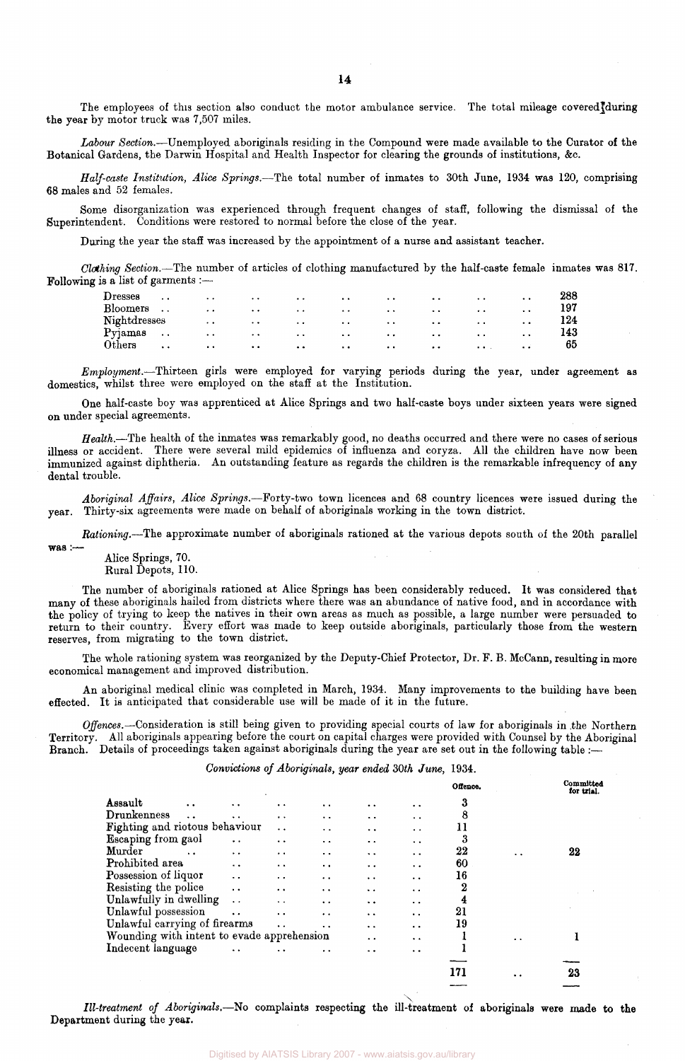The employees of this section also conduct the motor ambulance service. The total mileage covered during the year by motor truck was 7,507 miles.

*Labour Section.*—Unemployed aboriginals residing in the Compound were made available to the Curator of the Botanical Gardens, the Darwin Hospital and Health Inspector for clearing the grounds of institutions, &c.

*Half-caste Institution, Alice Springs.*—The total number of inmates to 30th June, 1934 was 120, comprising 68 males and 52 females.

Some disorganization was experienced through frequent changes of staff, following the dismissal of the Superintendent. Conditions were restored to normal before the close of the year.

During the year the staff was increased by the appointment of a nurse and assistant teacher.

*Clothing Section.*—The number of articles of clothing manufactured by the half-caste female inmates was 817. Following is a list of garments :-

| $\bf D$ resses | $\ddot{\phantom{1}}$ | $\bullet$           | $\cdot$ $\cdot$      | $\cdot$ .           | $\bullet$           | $\ddot{\phantom{1}}$                         | $\cdot$ $\cdot$      | $\cdot$ $\cdot$      | $\ddot{\phantom{1}}$ | 288 |
|----------------|----------------------|---------------------|----------------------|---------------------|---------------------|----------------------------------------------|----------------------|----------------------|----------------------|-----|
| Bloomers       | $\ddot{\phantom{1}}$ | $\bullet$           | $\bullet$            | $\bullet$ $\bullet$ | $\bullet$ $\bullet$ | $\bullet\hspace{0.4mm}\bullet\hspace{0.4mm}$ | $\cdot$ .            | $\cdot$ $\cdot$      |                      | 197 |
| Nightdresses   |                      | $\cdots$            | $\ddot{\phantom{1}}$ | $\bullet$ $\bullet$ | $\bullet$ $\bullet$ | $\sim$ $\sim$                                | $\ddot{\phantom{a}}$ | $\ddot{\phantom{1}}$ | . .                  | 124 |
| Pyjamas        | $\cdots$             | $\bullet$ $\bullet$ | $\sim$ $\sim$        | $\cdot$ $\cdot$     | $\bullet$           | $\bullet$                                    | $\ddot{\phantom{0}}$ | $\ddot{\phantom{1}}$ | . .                  | 143 |
| Others         | $\ddot{\phantom{1}}$ | $\cdot$ .           | $\cdot$              | $\cdot \cdot$       | $\cdots$            | $\cdots$                                     | $\cdot$ .            | $\cdots$             | $\bullet$            | 65  |

*Employment.*—Thirteen girls were employed for varying periods during the year, under agreement as domestics, whilst three were employed on the staff at the Institution.

One half-caste boy was apprenticed at Alice Springs and two half-caste boys under sixteen years were signed on under special agreements.

*Health.*—The health of the inmates was remarkably good, no deaths occurred and there were no cases of serious illness or accident. There were several mild epidemics of influenza and coryza. All the children have now been immunized against diphtheria. An outstanding feature as regards the children is the remarkable infrequency of any dental trouble.

*Aboriginal Affairs, Alice Springs.*—Forty-two town licences and 68 country licences were issued during the year. Thirty-six agreements were made on behalf of aboriginals working in the town district.

*Rationing.*—The approximate number of aboriginals rationed at the various depots south of the 20th parallel

Alice Springs, 70.

was :—

Rural Depots, 110.

The number of aboriginals rationed at Alice Springs has been considerably reduced. It was considered that many of these aboriginals hailed from districts where there was an abundance of native food, and in accordance with the policy of trying to keep the natives in their own areas as much as possible, a large number were persuaded to return to their country. Every effort was made to keep outside aboriginals, particularly those from the western reserves, from migrating to the town district.

The whole rationing system was reorganized by the Deputy-Chief Protector, Dr. F. B. McCann, resulting in more economical management and improved distribution.

An aboriginal medical clinic was completed in March, 1934. Many improvements to the building have been effected. It is anticipated that considerable use will be made of it in the future.

*Offences.*—Consideration is still being given to providing special courts of law for aboriginals in the Northern Territory. All aboriginals appearing before the court on capital charges were provided with Counsel by the Aboriginal Branch. Details of proceedings taken against aboriginals during the year are set out in the following table :—

#### *Convictions of Aboriginals, year ended 30th June,* 1934.

|                                            |                      |                      |                      |                      |                      | Offence. |                      | Committed<br>for trial. |
|--------------------------------------------|----------------------|----------------------|----------------------|----------------------|----------------------|----------|----------------------|-------------------------|
| Assault<br>. .                             | $\ddot{\phantom{0}}$ | $\cdot$              | $\ddot{\phantom{a}}$ | $\ddot{\phantom{a}}$ | $\bullet$            | 3        |                      |                         |
| Drunkenness<br>$\ddot{\phantom{0}}$        | $\ddot{\phantom{a}}$ | $\cdot$              | $\ddot{\phantom{0}}$ | $\cdot$ $\cdot$      | $\ddot{\phantom{1}}$ | 8        |                      |                         |
| Fighting and riotous behaviour             |                      | $\ddot{\phantom{a}}$ | $\ddot{\phantom{1}}$ | $\ddot{\phantom{0}}$ | $\ddot{\bullet}$     | 11       |                      |                         |
| Escaping from gaol                         | $\ddot{\phantom{1}}$ | $\cdot$ .            | $\ddot{\phantom{a}}$ | . .                  | $\ddot{\phantom{0}}$ | 3        |                      |                         |
| Murder<br>$\ddot{\phantom{a}}$             | $\ddot{\phantom{1}}$ | $\cdot$ $\cdot$      | $\cdot$ .            | $\ddot{\phantom{1}}$ | $\ddot{\phantom{1}}$ | 22       | $\ddot{\phantom{1}}$ | 22                      |
| Prohibited area                            | $\cdot$ $\cdot$      | $\ddot{\phantom{1}}$ | $\ddot{\phantom{1}}$ | $\cdots$             | $\cdot$ .            | 60       |                      |                         |
| Possession of liquor                       | $\ddot{\phantom{0}}$ | $\ddot{\phantom{0}}$ | $\bullet$ $\bullet$  | $\ddot{\phantom{0}}$ | $\cdot$ $\cdot$      | 16       |                      |                         |
| Resisting the police                       | $\ddot{\phantom{a}}$ | $\ddot{\phantom{0}}$ | $\ddot{\phantom{0}}$ | $\ddot{\phantom{1}}$ | $\ddot{\phantom{0}}$ | 2        |                      |                         |
| Unlawfully in dwelling                     | $\ddot{\phantom{0}}$ | $\sim$               | $\cdot$ $\cdot$      | $\ddot{\phantom{0}}$ | $\ddot{\phantom{a}}$ | 4        |                      |                         |
| Unlawful possession                        | $\ddot{\phantom{a}}$ | $\ddot{\phantom{a}}$ | $\ddot{\phantom{a}}$ | $\cdot$ .            | . .                  | 21       |                      |                         |
| Unlawful carrying of firearms              |                      | $\ddot{\phantom{a}}$ | $\bullet$            | $\ddot{\phantom{a}}$ | $\bullet$            | 19       |                      |                         |
| Wounding with intent to evade apprehension |                      |                      |                      | $\cdot$ $\cdot$      | $\ddot{\phantom{a}}$ |          | $\cdot$ .            |                         |
| Indecent language                          | $\ddot{\phantom{a}}$ |                      | $\bullet$ $\bullet$  | . .                  | $\ddot{\phantom{a}}$ |          |                      |                         |
|                                            |                      |                      |                      |                      |                      |          |                      |                         |
|                                            |                      |                      |                      |                      |                      | 171      | $\bullet$            | 23                      |

*Ill-treatment of Aboriginals.*—No complaints respecting the ill-treatment of aboriginals were made to the Department during the year.

14